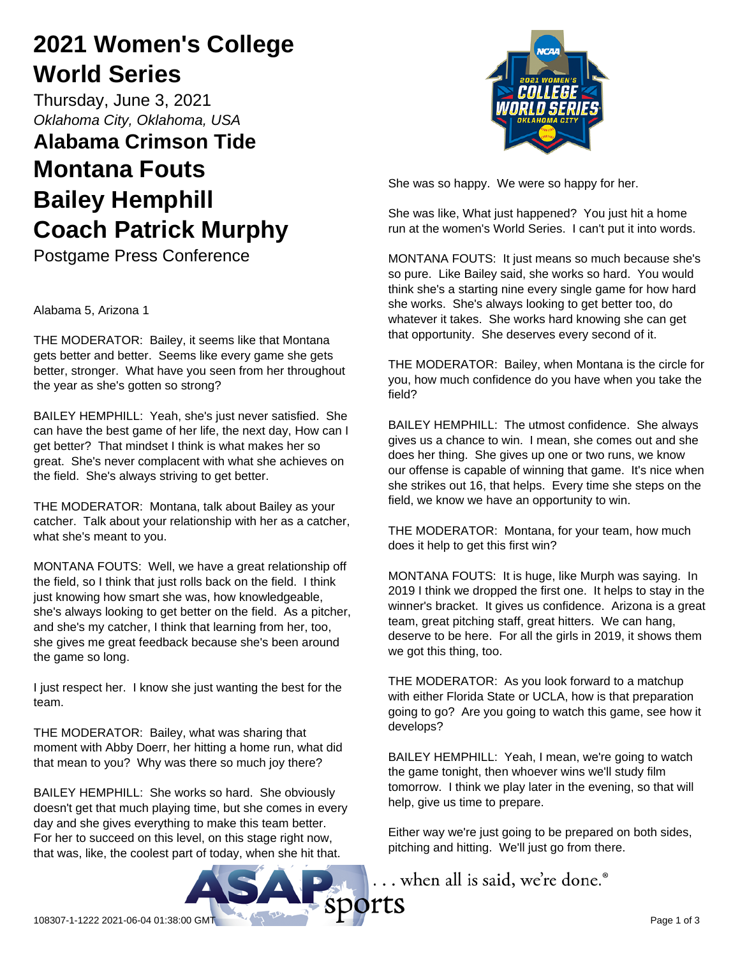# **2021 Women's College World Series**

Thursday, June 3, 2021 *Oklahoma City, Oklahoma, USA*

# **Alabama Crimson Tide Montana Fouts Bailey Hemphill Coach Patrick Murphy**

Postgame Press Conference

Alabama 5, Arizona 1

THE MODERATOR: Bailey, it seems like that Montana gets better and better. Seems like every game she gets better, stronger. What have you seen from her throughout the year as she's gotten so strong?

BAILEY HEMPHILL: Yeah, she's just never satisfied. She can have the best game of her life, the next day, How can I get better? That mindset I think is what makes her so great. She's never complacent with what she achieves on the field. She's always striving to get better.

THE MODERATOR: Montana, talk about Bailey as your catcher. Talk about your relationship with her as a catcher, what she's meant to you.

MONTANA FOUTS: Well, we have a great relationship off the field, so I think that just rolls back on the field. I think just knowing how smart she was, how knowledgeable, she's always looking to get better on the field. As a pitcher, and she's my catcher, I think that learning from her, too, she gives me great feedback because she's been around the game so long.

I just respect her. I know she just wanting the best for the team.

THE MODERATOR: Bailey, what was sharing that moment with Abby Doerr, her hitting a home run, what did that mean to you? Why was there so much joy there?

BAILEY HEMPHILL: She works so hard. She obviously doesn't get that much playing time, but she comes in every day and she gives everything to make this team better. For her to succeed on this level, on this stage right now, that was, like, the coolest part of today, when she hit that.



She was so happy. We were so happy for her.

She was like, What just happened? You just hit a home run at the women's World Series. I can't put it into words.

MONTANA FOUTS: It just means so much because she's so pure. Like Bailey said, she works so hard. You would think she's a starting nine every single game for how hard she works. She's always looking to get better too, do whatever it takes. She works hard knowing she can get that opportunity. She deserves every second of it.

THE MODERATOR: Bailey, when Montana is the circle for you, how much confidence do you have when you take the field?

BAILEY HEMPHILL: The utmost confidence. She always gives us a chance to win. I mean, she comes out and she does her thing. She gives up one or two runs, we know our offense is capable of winning that game. It's nice when she strikes out 16, that helps. Every time she steps on the field, we know we have an opportunity to win.

THE MODERATOR: Montana, for your team, how much does it help to get this first win?

MONTANA FOUTS: It is huge, like Murph was saying. In 2019 I think we dropped the first one. It helps to stay in the winner's bracket. It gives us confidence. Arizona is a great team, great pitching staff, great hitters. We can hang, deserve to be here. For all the girls in 2019, it shows them we got this thing, too.

THE MODERATOR: As you look forward to a matchup with either Florida State or UCLA, how is that preparation going to go? Are you going to watch this game, see how it develops?

BAILEY HEMPHILL: Yeah, I mean, we're going to watch the game tonight, then whoever wins we'll study film tomorrow. I think we play later in the evening, so that will help, give us time to prepare.

Either way we're just going to be prepared on both sides, pitching and hitting. We'll just go from there.

... when all is said, we're done.<sup>®</sup>

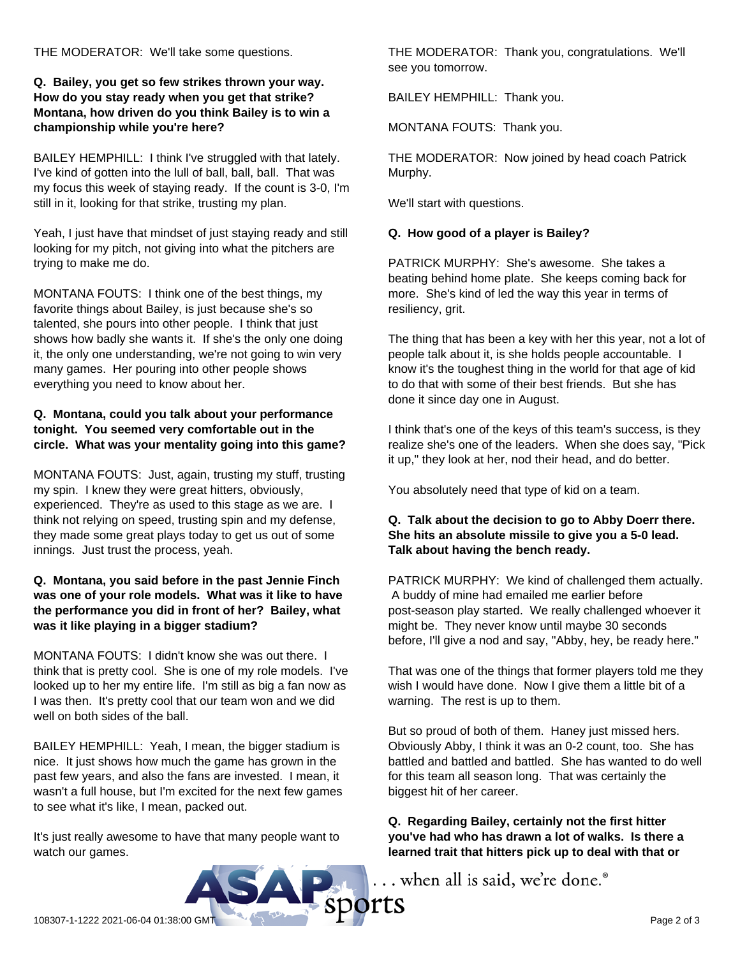THE MODERATOR: We'll take some questions.

# **Q. Bailey, you get so few strikes thrown your way. How do you stay ready when you get that strike? Montana, how driven do you think Bailey is to win a championship while you're here?**

BAILEY HEMPHILL: I think I've struggled with that lately. I've kind of gotten into the lull of ball, ball, ball. That was my focus this week of staying ready. If the count is 3-0, I'm still in it, looking for that strike, trusting my plan.

Yeah, I just have that mindset of just staying ready and still looking for my pitch, not giving into what the pitchers are trying to make me do.

MONTANA FOUTS: I think one of the best things, my favorite things about Bailey, is just because she's so talented, she pours into other people. I think that just shows how badly she wants it. If she's the only one doing it, the only one understanding, we're not going to win very many games. Her pouring into other people shows everything you need to know about her.

### **Q. Montana, could you talk about your performance tonight. You seemed very comfortable out in the circle. What was your mentality going into this game?**

MONTANA FOUTS: Just, again, trusting my stuff, trusting my spin. I knew they were great hitters, obviously, experienced. They're as used to this stage as we are. I think not relying on speed, trusting spin and my defense, they made some great plays today to get us out of some innings. Just trust the process, yeah.

# **Q. Montana, you said before in the past Jennie Finch was one of your role models. What was it like to have the performance you did in front of her? Bailey, what was it like playing in a bigger stadium?**

MONTANA FOUTS: I didn't know she was out there. I think that is pretty cool. She is one of my role models. I've looked up to her my entire life. I'm still as big a fan now as I was then. It's pretty cool that our team won and we did well on both sides of the ball.

BAILEY HEMPHILL: Yeah, I mean, the bigger stadium is nice. It just shows how much the game has grown in the past few years, and also the fans are invested. I mean, it wasn't a full house, but I'm excited for the next few games to see what it's like, I mean, packed out.

It's just really awesome to have that many people want to watch our games.

THE MODERATOR: Thank you, congratulations. We'll see you tomorrow.

BAILEY HEMPHILL: Thank you.

MONTANA FOUTS: Thank you.

THE MODERATOR: Now joined by head coach Patrick Murphy.

We'll start with questions.

### **Q. How good of a player is Bailey?**

PATRICK MURPHY: She's awesome. She takes a beating behind home plate. She keeps coming back for more. She's kind of led the way this year in terms of resiliency, grit.

The thing that has been a key with her this year, not a lot of people talk about it, is she holds people accountable. I know it's the toughest thing in the world for that age of kid to do that with some of their best friends. But she has done it since day one in August.

I think that's one of the keys of this team's success, is they realize she's one of the leaders. When she does say, "Pick it up," they look at her, nod their head, and do better.

You absolutely need that type of kid on a team.

### **Q. Talk about the decision to go to Abby Doerr there. She hits an absolute missile to give you a 5-0 lead. Talk about having the bench ready.**

PATRICK MURPHY: We kind of challenged them actually. A buddy of mine had emailed me earlier before post-season play started. We really challenged whoever it might be. They never know until maybe 30 seconds before, I'll give a nod and say, "Abby, hey, be ready here."

That was one of the things that former players told me they wish I would have done. Now I give them a little bit of a warning. The rest is up to them.

But so proud of both of them. Haney just missed hers. Obviously Abby, I think it was an 0-2 count, too. She has battled and battled and battled. She has wanted to do well for this team all season long. That was certainly the biggest hit of her career.

**Q. Regarding Bailey, certainly not the first hitter you've had who has drawn a lot of walks. Is there a learned trait that hitters pick up to deal with that or**

... when all is said, we're done.®